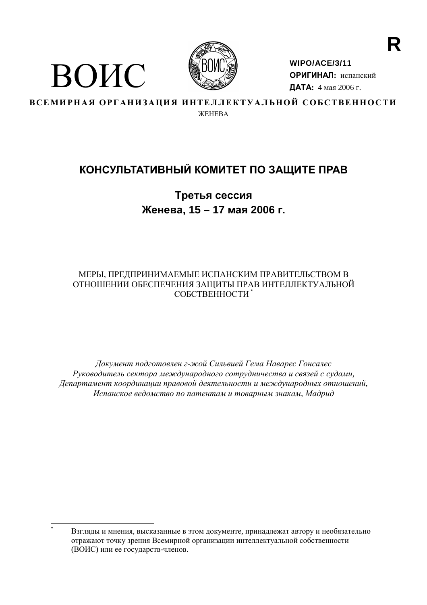

ВОИС

WIPO/ACE/3/11 ОРИГИНАЛ: испанский ДАТА: 4 мая 2006 г.

ВСЕМИРНАЯ ОРГАНИЗАЦИЯ ИНТЕЛЛЕКТУАЛЬНОЙ СОБСТВЕННОСТИ **ЖЕНЕВА** 

# КОНСУЛЬТАТИВНЫЙ КОМИТЕТ ПО ЗАЩИТЕ ПРАВ

Третья сессия Женева, 15 - 17 мая 2006 г.

МЕРЫ, ПРЕДПРИНИМАЕМЫЕ ИСПАНСКИМ ПРАВИТЕЛЬСТВОМ В ОТНОШЕНИИ ОБЕСПЕЧЕНИЯ ЗАЩИТЫ ПРАВ ИНТЕЛЛЕКТУАЛЬНОЙ СОБСТВЕННОСТИ

Документ подготовлен г-жой Сильвией Гема Наварес Гонсалес Руководитель сектора международного сотрудничества и связей с судами, Департамент координации правовой деятельности и международных отношений, Испанское ведомство по патентам и товарным знакам, Мадрид

Взгляды и мнения, высказанные в этом документе, принадлежат автору и необязательно отражают точку зрения Всемирной организации интеллектуальной собственности (ВОИС) или ее государств-членов.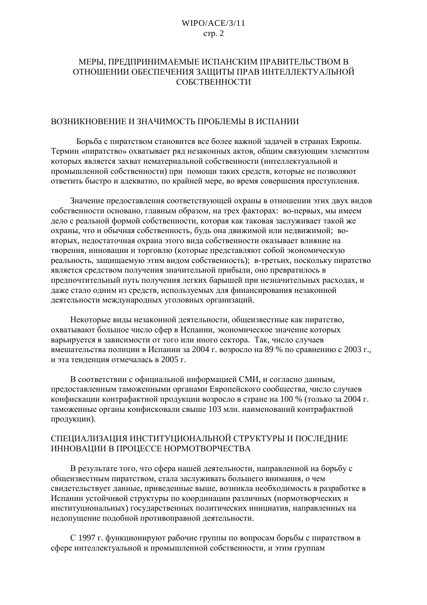### $W$ IPO/ACE/3/11  $crp. 2$

## МЕРЫ. ПРЕЛПРИНИМАЕМЫЕ ИСПАНСКИМ ПРАВИТЕЛЬСТВОМ В ОТНОШЕНИИ ОБЕСПЕЧЕНИЯ ЗАЩИТЫ ПРАВ ИНТЕЛЛЕКТУАЛЬНОЙ СОБСТВЕННОСТИ

### ВОЗНИКНОВЕНИЕ И ЗНАЧИМОСТЬ ПРОБЛЕМЫ В ИСПАНИИ

Борьба с пиратством становится все более важной задачей в странах Европы. Термин «пиратство» охватывает ряд незаконных актов, общим связующим элементом которых является захват нематериальной собственности (интеллектуальной и промышленной собственности) при помощи таких средств, которые не позволяют ответить быстро и адекватно, по крайней мере, во время совершения преступления.

Значение предоставления соответствующей охраны в отношении этих двух видов собственности основано, главным образом, на трех факторах: во-первых, мы имеем дело с реальной формой собственности, которая как таковая заслуживает такой же охраны, что и обычная собственность, будь она движимой или недвижимой; вовторых, недостаточная охрана этого вида собственности оказывает влияние на творения, инновации и торговлю (которые представляют собой экономическую реальность, защищаемую этим видом собственность); в-третьих, поскольку пиратство является средством получения значительной прибыли, оно превратилось в предпочтительный путь получения легких барышей при незначительных расходах, и даже стало одним из средств, используемых для финансирования незаконной деятельности международных уголовных организаций.

Некоторые виды незаконной деятельности, общеизвестные как пиратство, охватывают большое число сфер в Испании, экономическое значение которых варьируется в зависимости от того или иного сектора. Так, число случаев вмешательства полиции в Испании за 2004 г. возросло на 89 % по сравнению с 2003 г., и эта тенленция отмечалась в 2005 г.

В соответствии с официальной информацией СМИ, и согласно данным, предоставленным таможенными органами Европейского сообщества, число случаев конфискации контрафактной продукции возросло в стране на 100 % (только за 2004 г. таможенные органы конфисковали свыше 103 млн. наименований контрафактной продукции).

### СПЕЦИАЛИЗАЦИЯ ИНСТИТУЦИОНАЛЬНОЙ СТРУКТУРЫ И ПОСЛЕДНИЕ ИННОВАЦИИ В ПРОЦЕССЕ НОРМОТВОРЧЕСТВА

В результате того, что сфера нашей деятельности, направленной на борьбу с общеизвестным пиратством, стала заслуживать большего внимания, о чем свидетельствует данные, приведенные выше, возникла необходимость в разработке в Испании устойчивой структуры по координации различных (нормотворческих и институциональных) государственных политических инициатив, направленных на недопущение подобной противоправной деятельности.

С 1997 г. функционируют рабочие группы по вопросам борьбы с пиратством в сфере интеллектуальной и промышленной собственности, и этим группам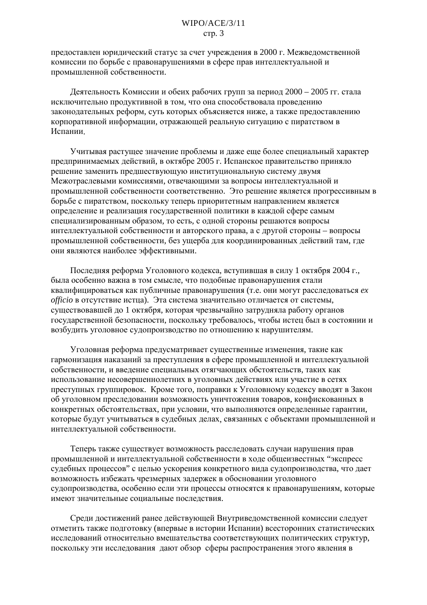предоставлен юридический статус за счет учреждения в 2000 г. Межведомственной комиссии по борьбе с правонарушениями в сфере прав интеллектуальной и промышленной собственности.

Деятельность Комиссии и обеих рабочих групп за период 2000 - 2005 гг. стала исключительно продуктивной в том, что она способствовала проведению законодательных реформ, суть которых объясняется ниже, а также предоставлению корпоративной информации, отражающей реальную ситуацию с пиратством в Испании

Учитывая растущее значение проблемы и даже еще более специальный характер предпринимаемых действий, в октябре 2005 г. Испанское правительство приняло решение заменить предшествующую институциональную систему двумя Межотраслевыми комиссиями, отвечающими за вопросы интеллектуальной и промышленной собственности соответственно. Это решение является прогрессивным в борьбе с пиратством, поскольку теперь приоритетным направлением является определение и реализация государственной политики в каждой сфере самым специализированным образом, то есть, с одной стороны решаются вопросы интеллектуальной собственности и авторского права, а с другой стороны - вопросы промышленной собственности, без ущерба для координированных действий там, где они являются наиболее эффективными.

Последняя реформа Уголовного кодекса, вступившая в силу 1 октября 2004 г., была особенно важна в том смысле, что подобные правонарушения стали квалифицироваться как публичные правонарушения (т.е. они могут расследоваться ех оfficio в отсутствие истца). Эта система значительно отличается от системы, существовавшей до 1 октября, которая чрезвычайно затрудняла работу органов государственной безопасности, поскольку требовалось, чтобы истец был в состоянии и возбудить уголовное судопроизводство по отношению к нарушителям.

Уголовная реформа предусматривает существенные изменения, такие как гармонизация наказаний за преступления в сфере промышленной и интеллектуальной собственности, и введение специальных отягчающих обстоятельств, таких как использование несовершеннолетних в уголовных действиях или участие в сетях преступных группировок. Кроме того, поправки к Уголовному кодексу вводят в Закон об уголовном преследовании возможность уничтожения товаров, конфискованных в конкретных обстоятельствах, при условии, что выполняются определенные гарантии, которые будут учитываться в судебных делах, связанных с объектами промышленной и интеллектуальной собственности.

Теперь также существует возможность расследовать случаи нарушения прав промышленной и интеллектуальной собственности в ходе общеизвестных "экспресс судебных процессов" с целью ускорения конкретного вида судопроизводства, что дает возможность избежать чрезмерных задержек в обосновании уголовного судопроизводства, особенно если эти процессы относятся к правонарушениям, которые имеют значительные социальные последствия.

Среди достижений ранее действующей Внутриведомственной комиссии следует отметить также подготовку (впервые в истории Испании) всесторонних статистических исследований относительно вмешательства соответствующих политических структур, поскольку эти исследования дают обзор сферы распространения этого явления в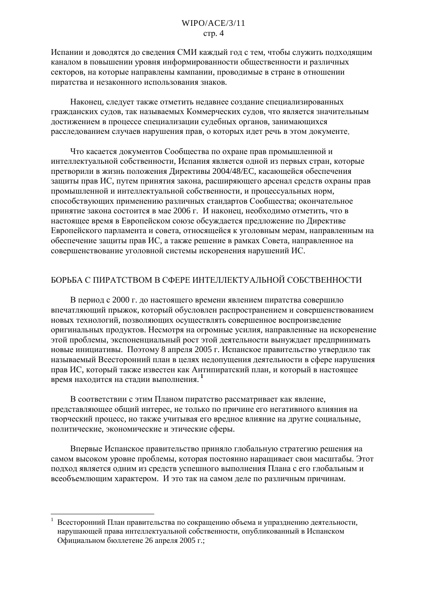Испании и доводятся до сведения СМИ каждый год с тем, чтобы служить подходящим каналом в повышении уровня информированности обшественности и различных секторов, на которые направлены кампании, проводимые в стране в отношении пиратства и незаконного использования знаков.

Наконец, следует также отметить недавнее создание специализированных гражданских судов, так называемых Коммерческих судов, что является значительным достижением в процессе специализации судебных органов, занимающихся расслелованием случаев нарушения прав, о которых идет речь в этом локументе.

Что касается документов Сообщества по охране прав промышленной и интеллектуальной собственности, Испания является одной из первых стран, которые претворили в жизнь положения Директивы 2004/48/ЕС, касающейся обеспечения защиты прав ИС, путем принятия закона, расширяющего арсенал средств охраны прав промышленной и интеллектуальной собственности, и процессуальных норм, способствующих применению различных стандартов Сообщества; окончательное принятие закона состоится в мае 2006 г. И наконец, необходимо отметить, что в настоящее время в Европейском союзе обсуждается предложение по Директиве Европейского парламента и совета, относящейся к уголовным мерам, направленным на обеспечение защиты прав ИС, а также решение в рамках Совета, направленное на совершенствование уголовной системы искоренения нарушений ИС.

## БОРЬБА С ПИРАТСТВОМ В СФЕРЕ ИНТЕЛЛЕКТУАЛЬНОЙ СОБСТВЕННОСТИ

В период с 2000 г. до настоящего времени явлением пиратства совершило впечатляющий прыжок, который обусловлен распространением и совершенствованием новых технологий, позволяющих осуществлять совершенное воспроизведение оригинальных продуктов. Несмотря на огромные усилия, направленные на искоренение этой проблемы, экспоненциальный рост этой деятельности вынуждает предпринимать новые инициативы. Поэтому 8 апреля 2005 г. Испанское правительство утвердило так называемый Всесторонний план в целях недопущения деятельности в сфере нарушения прав ИС, который также известен как Антипиратский план, и который в настоящее время находится на стадии выполнения. <sup>1</sup>

В соответствии с этим Планом пиратство рассматривает как явление, представляющее общий интерес, не только по причине его негативного влияния на творческий процесс, но также учитывая его вредное влияние на другие социальные, политические, экономические и этические сферы.

Впервые Испанское правительство приняло глобальную стратегию решения на самом высоком уровне проблемы, которая постоянно наращивает свои масштабы. Этот подход является одним из средств успешного выполнения Плана с его глобальным и всеобъемлющим характером. И это так на самом деле по различным причинам.

Всесторонний План правительства по сокращению объема и упразднению деятельности, нарушающей права интеллектуальной собственности, опубликованный в Испанском Официальном бюллетене 26 апреля 2005 г.;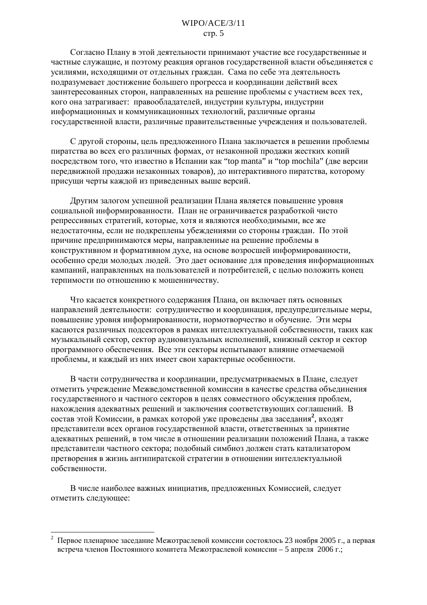Согласно Плану в этой деятельности принимают участие все государственные и частные служащие, и поэтому реакция органов государственной власти объединяется с усилиями, исходящими от отдельных граждан. Сама по себе эта деятельность подразумевает достижение большего прогресса и координации действий всех заинтересованных сторон, направленных на решение проблемы с участием всех тех, кого она затрагивает: правообладателей, индустрии культуры, индустрии информационных и коммуникационных технологий, различные органы государственной власти, различные правительственные учреждения и пользователей.

С другой стороны, цель предложенного Плана заключается в решении проблемы пиратства во всех его различных формах, от незаконной продажи жестких копий посредством того, что известно в Испании как "top manta" и "top mochila" (две версии передвижной продажи незаконных товаров), до интерактивного пиратства, которому присущи черты каждой из приведенных выше версий.

Другим залогом успешной реализации Плана является повышение уровня социальной информированности. План не ограничивается разработкой чисто репрессивных стратегий, которые, хотя и являются необходимыми, все же недостаточны, если не подкреплены убеждениями со стороны граждан. По этой причине предпринимаются меры, направленные на решение проблемы в конструктивном и формативном духе, на основе возросшей информированности, особенно среди молодых людей. Это дает основание для проведения информационных кампаний, направленных на пользователей и потребителей, с целью положить конец терпимости по отношению к мошенничеству.

Что касается конкретного содержания Плана, он включает пять основных направлений деятельности: сотрудничество и координация, предупредительные меры, повышение уровня информированности, нормотворчество и обучение. Эти меры касаются различных подсекторов в рамках интеллектуальной собственности, таких как музыкальный сектор, сектор аудиовизуальных исполнений, книжный сектор и сектор программного обеспечения. Все эти секторы испытывают влияние отмечаемой проблемы, и каждый из них имеет свои характерные особенности.

В части сотрудничества и координации, предусматриваемых в Плане, следует отметить учреждение Межведомственной комиссии в качестве средства объединения государственного и частного секторов в целях совместного обсуждения проблем, нахождения адекватных решений и заключения соответствующих соглашений. В состав этой Комиссии, в рамках которой уже проведены два заседания<sup>2</sup>, входят представители всех органов государственной власти, ответственных за принятие адекватных решений, в том числе в отношении реализации положений Плана, а также представители частного сектора; подобный симбиоз должен стать катализатором претворения в жизнь антипиратской стратегии в отношении интеллектуальной собственности.

В числе наиболее важных инициатив, предложенных Комиссией, следует отметить следующее:

Первое пленарное заседание Межотраслевой комиссии состоялось 23 ноября 2005 г., а первая встреча членов Постоянного комитета Межотраслевой комиссии - 5 апреля 2006 г.;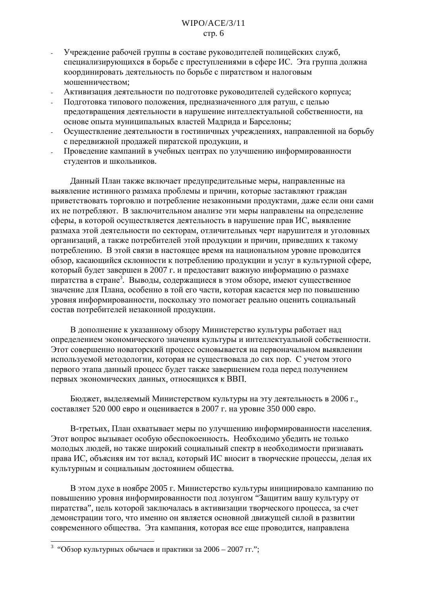- Учреждение рабочей группы в составе руководителей полицейских служб. специализирующихся в борьбе с преступлениями в сфере ИС. Эта группа должна координировать деятельность по борьбе с пиратством и налоговым мошенничеством:
- Активизация деятельности по подготовке руководителей судейского корпуса;
- Подготовка типового положения, предназначенного для ратуш, с целью предотвращения деятельности в нарушение интеллектуальной собственности, на основе опыта муниципальных властей Мадрида и Барселоны;
- Осуществление деятельности в гостиничных учреждениях, направленной на борьбу с передвижной продажей пиратской продукции, и
- Проведение кампаний в учебных центрах по улучшению информированности студентов и школьников.

Данный План также включает предупредительные меры, направленные на выявление истинного размаха проблемы и причин, которые заставляют граждан приветствовать торговлю и потребление незаконными продуктами, даже если они сами их не потребляют. В заключительном анализе эти меры направлены на определение сферы, в которой осуществляется деятельность в нарушение прав ИС, выявление размаха этой деятельности по секторам, отличительных черт нарушителя и уголовных организаций, а также потребителей этой продукции и причин, приведших к такому потреблению. В этой связи в настоящее время на национальном уровне проводится обзор, касающийся склонности к потреблению продукции и услуг в культурной сфере, который будет завершен в 2007 г. и предоставит важную информацию о размахе пиратства в стране<sup>3</sup>. Выволы, солержащиеся в этом обзоре, имеют существенное значение для Плана, особенно в той его части, которая касается мер по повышению уровня информированности, поскольку это помогает реально оценить социальный состав потребителей незаконной продукции.

В дополнение к указанному обзору Министерство культуры работает над определением экономического значения культуры и интеллектуальной собственности. Этот совершенно новаторский процесс основывается на первоначальном выявлении используемой методологии, которая не существовала до сих пор. С учетом этого первого этапа данный процесс будет также завершением года перед получением первых экономических данных, относящихся к ВВП.

Бюджет, выделяемый Министерством культуры на эту деятельность в 2006 г., составляет 520 000 евро и оценивается в 2007 г. на уровне 350 000 евро.

В-третьих, План охватывает меры по улучшению информированности населения. Этот вопрос вызывает особую обеспокоенность. Необходимо убедить не только молодых людей, но также широкий социальный спектр в необходимости признавать права ИС, объясняя им тот вклад, который ИС вносит в творческие процессы, делая их культурным и социальным достоянием общества.

В этом духе в ноябре 2005 г. Министерство культуры инициировало кампанию по повышению уровня информированности под лозунгом "Защитим вашу культуру от пиратства", цель которой заключалась в активизации творческого процесса, за счет демонстрации того, что именно он является основной движущей силой в развитии современного общества. Эта кампания, которая все еще проводится, направлена

<sup>&</sup>lt;sup>3</sup> "Обзор культурных обычаев и практики за  $2006 - 2007$  гг.";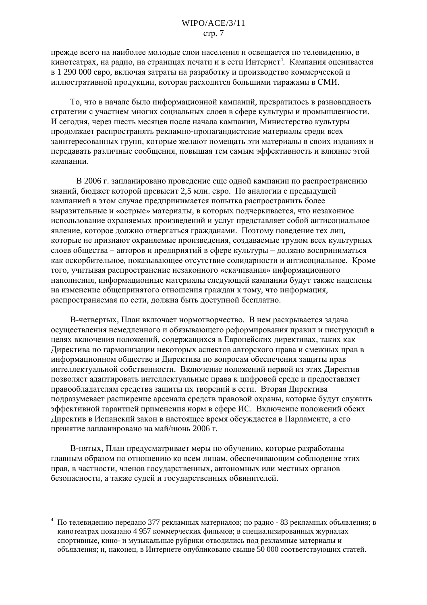прежде всего на наиболее молодые слои населения и освещается по телевилению. в кинотеатрах, на радио, на страницах печати и в сети Интернет<sup>4</sup>. Кампания оценивается в 1 290 000 евро, включая затраты на разработку и производство коммерческой и иллюстративной продукции, которая расходится большими тиражами в СМИ.

То, что в начале было информационной кампаний, превратилось в разновидность стратегии с участием многих социальных слоев в сфере культуры и промышленности. И сегодня, через шесть месяцев после начала кампании, Министерство культуры продолжает распространять рекламно-пропагандистские материалы среди всех заинтересованных групп, которые желают помещать эти материалы в своих изданиях и передавать различные сообщения, повышая тем самым эффективность и влияние этой кампании.

В 2006 г. запланировано проведение еще одной кампании по распространению знаний, бюджет которой превысит 2,5 млн. евро. По аналогии с предыдущей кампанией в этом случае предпринимается попытка распространить более выразительные и «острые» материалы, в которых подчеркивается, что незаконное использование охраняемых произведений и услуг представляет собой антисоциальное явление, которое должно отвергаться гражданами. Поэтому поведение тех лиц, которые не признают охраняемые произведения, создаваемые трудом всех культурных слоев общества – авторов и предприятий в сфере культуры – должно восприниматься как оскорбительное, показывающее отсутствие солидарности и антисоциальное. Кроме того, учитывая распространение незаконного «скачивания» информационного наполнения, информационные материалы следующей кампании будут также нацелены на изменение обшепринятого отношения граждан к тому, что информация, распространяемая по сети, должна быть доступной бесплатно.

В-четвертых, План включает нормотворчество. В нем раскрывается задача осуществления немедленного и обязывающего реформирования правил и инструкций в целях включения положений, содержащихся в Европейских директивах, таких как Директива по гармонизации некоторых аспектов авторского права и смежных прав в информационном обществе и Директива по вопросам обеспечения защиты прав интеллектуальной собственности. Включение положений первой из этих Директив позволяет адаптировать интеллектуальные права к цифровой среде и предоставляет правообладателям средства защиты их творений в сети. Вторая Директива подразумевает расширение арсенала средств правовой охраны, которые будут служить эффективной гарантией применения норм в сфере ИС. Включение положений обеих Директив в Испанский закон в настоящее время обсуждается в Парламенте, а его принятие запланировано на май/июнь 2006 г.

В-пятых, План предусматривает меры по обучению, которые разработаны главным образом по отношению ко всем лицам, обеспечивающим соблюдение этих прав, в частности, членов государственных, автономных или местных органов безопасности, а также судей и государственных обвинителей.

По телевидению передано 377 рекламных материалов; по радио - 83 рекламных объявления; в кинотеатрах показано 4 957 коммерческих фильмов; в специализированных журналах спортивные, кино- и музыкальные рубрики отводились под рекламные материалы и объявления; и, наконец, в Интернете опубликовано свыше 50 000 соответствующих статей.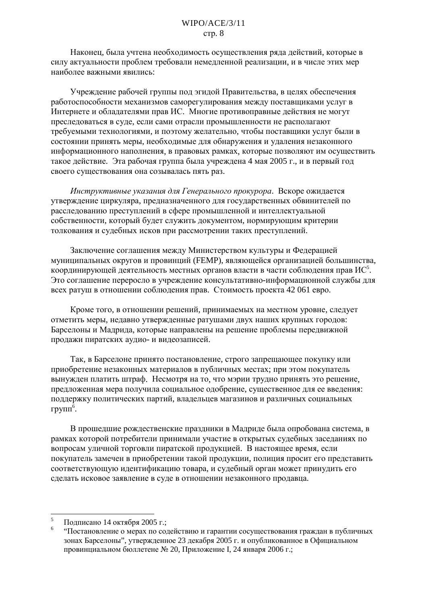Наконец, была учтена необходимость осуществления ряда действий, которые в силу актуальности проблем требовали немелленной реализации, и в числе этих мер наиболее важными явились:

Учреждение рабочей группы под эгидой Правительства, в целях обеспечения работоспособности механизмов саморегулирования между поставщиками услуг в Интернете и обладателями прав ИС. Многие противоправные действия не могут преследоваться в суде, если сами отрасли промышленности не располагают требуемыми технологиями, и поэтому желательно, чтобы поставщики услуг были в состоянии принять меры, необходимые для обнаружения и удаления незаконного информационного наполнения, в правовых рамках, которые позволяют им осуществить такое действие. Эта рабочая группа была учреждена 4 мая 2005 г., и в первый год своего существования она созывалась пять раз.

Инструктивные указания для Генерального прокурора. Вскоре ожидается утверждение циркуляра, предназначенного для государственных обвинителей по расследованию преступлений в сфере промышленной и интеллектуальной собственности, который будет служить документом, нормирующим критерии толкования и судебных исков при рассмотрении таких преступлений.

Заключение соглашения между Министерством культуры и Федерацией муниципальных округов и провинций (FEMP), являющейся организацией большинства, координирующей деятельность местных органов власти в части соблюдения прав  $MC^5$ . Это соглашение переросло в учреждение консультативно-информационной службы для всех ратуш в отношении соблюдения прав. Стоимость проекта 42 061 евро.

Кроме того, в отношении решений, принимаемых на местном уровне, следует отметить меры, недавно утвержденные ратушами двух наших крупных городов: Барселоны и Мадрида, которые направлены на решение проблемы передвижной продажи пиратских аудио- и видеозаписей.

Так, в Барселоне принято постановление, строго запрещающее покупку или приобретение незаконных материалов в публичных местах; при этом покупатель вынужден платить штраф. Несмотря на то, что мэрии трудно принять это решение, предложенная мера получила социальное одобрение, существенное для ее введения: поддержку политических партий, владельцев магазинов и различных социальных групп<sup>6</sup>.

В прошедшие рождественские праздники в Мадриде была опробована система, в рамках которой потребители принимали участие в открытых судебных заседаниях по вопросам уличной торговли пиратской продукцией. В настоящее время, если покупатель замечен в приобретении такой продукции, полиция просит его представить соответствующую идентификацию товара, и судебный орган может принудить его сделать исковое заявление в суде в отношении незаконного продавца.

 $\leq$ Подписано 14 октября 2005 г.;

<sup>&</sup>quot;Постановление о мерах по содействию и гарантии сосуществования граждан в публичных зонах Барселоны", утвержденное 23 декабря 2005 г. и опубликованное в Официальном провинциальном бюллетене № 20, Приложение I, 24 января 2006 г.;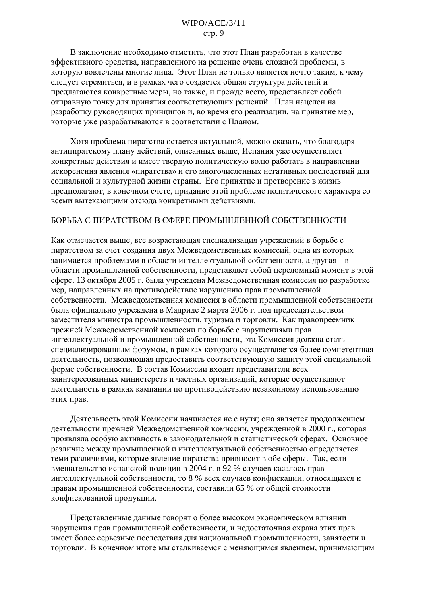### $W$ IPO/ACE/3/11 стр. 9

В заключение необходимо отметить, что этот План разработан в качестве эффективного средства, направленного на решение очень сложной проблемы, в которую вовлечены многие лица. Этот План не только является нечто таким, к чему следует стремиться, и в рамках чего создается общая структура действий и предлагаются конкретные меры, но также, и прежде всего, представляет собой отправную точку для принятия соответствующих решений. План нацелен на разработку руководящих принципов и, во время его реализации, на принятие мер, которые уже разрабатываются в соответствии с Планом.

Хотя проблема пиратства остается актуальной, можно сказать, что благодаря антипиратскому плану действий, описанных выше, Испания уже осуществляет конкретные действия и имеет твердую политическую волю работать в направлении искоренения явления «пиратства» и его многочисленных негативных послелствий лля социальной и культурной жизни страны. Его принятие и претворение в жизнь предполагают, в конечном счете, придание этой проблеме политического характера со всеми вытекающими отсюда конкретными действиями.

# БОРЬБА С ПИРАТСТВОМ В СФЕРЕ ПРОМЫШЛЕННОЙ СОБСТВЕННОСТИ

Как отмечается выше, все возрастающая специализация учреждений в борьбе с пиратством за счет создания двух Межведомственных комиссий, одна из которых занимается проблемами в области интеллектуальной собственности, а другая - в области промышленной собственности, представляет собой переломный момент в этой сфере. 13 октября 2005 г. была учреждена Межведомственная комиссия по разработке мер, направленных на противодействие нарушению прав промышленной собственности. Межведомственная комиссия в области промышленной собственности была официально учреждена в Мадриде 2 марта 2006 г. под председательством заместителя министра промышленности, туризма и торговли. Как правопреемник прежней Межведомственной комиссии по борьбе с нарушениями прав интеллектуальной и промышленной собственности, эта Комиссия должна стать специализированным форумом, в рамках которого осуществляется более компетентная деятельность, позволяющая предоставить соответствующую защиту этой специальной форме собственности. В состав Комиссии входят представители всех заинтересованных министерств и частных организаций, которые осуществляют деятельность в рамках кампании по противодействию незаконному использованию этих прав.

Деятельность этой Комиссии начинается не с нуля; она является продолжением деятельности прежней Межведомственной комиссии, учрежденной в 2000 г., которая проявляла особую активность в законодательной и статистической сферах. Основное различие между промышленной и интеллектуальной собственностью определяется теми различиями, которые явление пиратства привносит в обе сферы. Так, если вмешательство испанской полиции в 2004 г. в 92 % случаев касалось прав интеллектуальной собственности, то 8 % всех случаев конфискации, относящихся к правам промышленной собственности, составили 65 % от общей стоимости конфискованной продукции.

Представленные данные говорят о более высоком экономическом влиянии нарушения прав промышленной собственности, и недостаточная охрана этих прав имеет более серьезные последствия для национальной промышленности, занятости и торговли. В конечном итоге мы сталкиваемся с меняющимся явлением, принимающим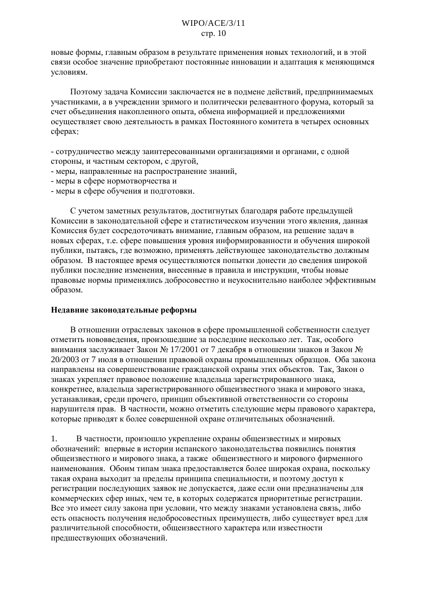новые формы, главным образом в результате применения новых технологий, и в этой связи особое значение приобретают постоянные инновации и алаптация к меняющимся условиям.

Поэтому задача Комиссии заключается не в подмене действий, предпринимаемых участниками, а в учреждении зримого и политически релевантного форума, который за счет объединения накопленного опыта, обмена информацией и предложениями осуществляет свою деятельность в рамках Постоянного комитета в четырех основных c<sub>o</sub>epax:

- сотрудничество между заинтересованными организациями и органами, с одной стороны, и частным сектором, с другой,

- меры, направленные на распространение знаний,
- меры в сфере нормотворчества и
- меры в сфере обучения и подготовки.

С учетом заметных результатов, достигнутых благодаря работе предыдущей Комиссии в законодательной сфере и статистическом изучении этого явления, данная Комиссия будет сосредоточивать внимание, главным образом, на решение задач в новых сферах, т.е. сфере повышения уровня информированности и обучения широкой публики, пытаясь, где возможно, применять действующее законодательство должным образом. В настоящее время осуществляются попытки донести до сведения широкой публики последние изменения, внесенные в правила и инструкции, чтобы новые правовые нормы применялись добросовестно и неукоснительно наиболее эффективным образом.

#### Недавние законодательные реформы

В отношении отраслевых законов в сфере промышленной собственности следует отметить нововведения, произошедшие за последние несколько лет. Так, особого внимания заслуживает Закон № 17/2001 от 7 декабря в отношении знаков и Закон № 20/2003 от 7 июля в отношении правовой охраны промышленных образцов. Оба закона направлены на совершенствование гражданской охраны этих объектов. Так, Закон о знаках укрепляет правовое положение владельца зарегистрированного знака, конкретнее, владельца зарегистрированного общеизвестного знака и мирового знака, устанавливая, среди прочего, принцип объективной ответственности со стороны нарушителя прав. В частности, можно отметить следующие меры правового характера, которые приводят к более совершенной охране отличительных обозначений.

1. В частности, произошло укрепление охраны общеизвестных и мировых обозначений: впервые в истории испанского законодательства появились понятия общеизвестного и мирового знака, а также общеизвестного и мирового фирменного наименования. Обоим типам знака предоставляется более широкая охрана, поскольку такая охрана выходит за пределы принципа специальности, и поэтому доступ к регистрации последующих заявок не допускается, даже если они предназначены для коммерческих сфер иных, чем те, в которых содержатся приоритетные регистрации. Все это имеет силу закона при условии, что между знаками установлена связь, либо есть опасность получения недобросовестных преимуществ, либо существует вред для различительной способности, общеизвестного характера или известности предшествующих обозначений.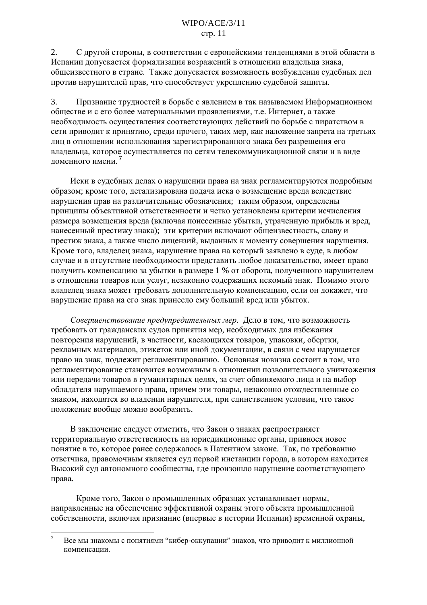$2.$ С другой стороны, в соответствии с европейскими тенденциями в этой области в Испании допускается формализация возражений в отношении владельца знака. общеизвестного в стране. Также допускается возможность возбуждения судебных дел против нарушителей прав, что способствует укреплению судебной защиты.

 $3.$ Признание трудностей в борьбе с явлением в так называемом Информационном обществе и с его более материальными проявлениями, т.е. Интернет, а также необходимость осуществления соответствующих действий по борьбе с пиратством в сети приводит к принятию, среди прочего, таких мер, как наложение запрета на третьих лиц в отношении использования зарегистрированного знака без разрешения его владельца, которое осуществляется по сетям телекоммуникационной связи и в виде доменного имени.

Иски в судебных делах о нарушении права на знак регламентируются подробным образом; кроме того, детализирована подача иска о возмещение вреда вследствие нарушения прав на различительные обозначения; таким образом, определены принципы объективной ответственности и четко установлены критерии исчисления размера возмещения вреда (включая понесенные убытки, утраченную прибыль и вред, нанесенный престижу знака); эти критерии включают общеизвестность, славу и престиж знака, а также число лицензий, выданных к моменту совершения нарушения. Кроме того, владелец знака, нарушение права на который заявлено в суде, в любом случае и в отсутствие необходимости представить любое доказательство, имеет право получить компенсацию за убытки в размере 1 % от оборота, полученного нарушителем в отношении товаров или услуг, незаконно содержащих искомый знак. Помимо этого владелец знака может требовать дополнительную компенсацию, если он докажет, что нарушение права на его знак принесло ему больший вред или убыток.

Совершенствование предупредительных мер. Дело в том, что возможность требовать от гражданских судов принятия мер, необходимых для избежания повторения нарушений, в частности, касающихся товаров, упаковки, обертки, рекламных материалов, этикеток или иной документации, в связи с чем нарушается право на знак, подлежит регламентированию. Основная новизна состоит в том, что регламентирование становится возможным в отношении позволительного уничтожения или передачи товаров в гуманитарных целях, за счет обвиняемого лица и на выбор обладателя нарушаемого права, причем эти товары, незаконно отождествленные со знаком, находятся во владении нарушителя, при единственном условии, что такое положение вообще можно вообразить.

В заключение следует отметить, что Закон о знаках распространяет территориальную ответственность на юрисдикционные органы, привнося новое понятие в то, которое ранее содержалось в Патентном законе. Так, по требованию ответчика, правомочным является суд первой инстанции города, в котором находится Высокий суд автономного сообщества, где произошло нарушение соответствующего права.

Кроме того, Закон о промышленных образцах устанавливает нормы, направленные на обеспечение эффективной охраны этого объекта промышленной собственности, включая признание (впервые в истории Испании) временной охраны,

 $\overline{7}$ Все мы знакомы с понятиями "кибер-оккупации" знаков, что приводит к миллионной компенсации.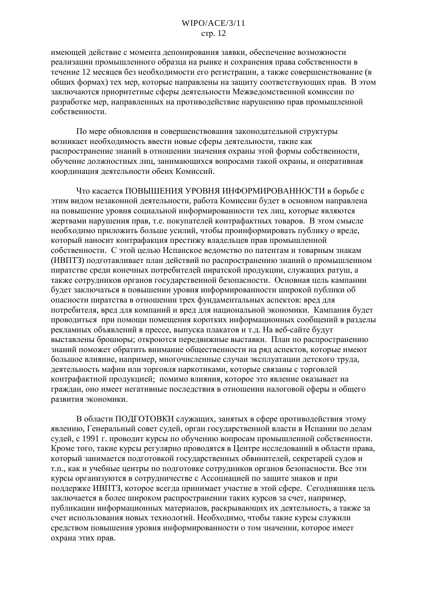имеющей действие с момента депонирования заявки, обеспечение возможности реализации промышленного образца на рынке и сохранения права собственности в течение 12 месяцев без необходимости его регистрации, а также совершенствование (в общих формах) тех мер, которые направлены на защиту соответствующих прав. В этом заключаются приоритетные сферы деятельности Межведомственной комиссии по разработке мер, направленных на противодействие нарушению прав промышленной собственности.

По мере обновления и совершенствования законодательной структуры возникает необходимость ввести новые сферы деятельности, такие как распространение знаний в отношении значения охраны этой формы собственности, обучение должностных лиц, занимающихся вопросами такой охраны, и оперативная координация деятельности обеих Комиссий.

Что касается ПОВЫШЕНИЯ УРОВНЯ ИНФОРМИРОВАННОСТИ в борьбе с этим видом незаконной деятельности, работа Комиссии будет в основном направлена на повышение уровня социальной информированности тех лиц, которые являются жертвами нарушения прав, т.е. покупателей контрафактных товаров. В этом смысле необходимо приложить больше усилий, чтобы проинформировать публику о вреде, который наносит контрафакция престижу владельцев прав промышленной собственности. С этой целью Испанское ведомство по патентам и товарным знакам (ИВПТЗ) подготавливает план действий по распространению знаний о промышленном пиратстве среди конечных потребителей пиратской продукции, служащих ратуш, а также сотрудников органов государственной безопасности. Основная цель кампании будет заключаться в повышении уровня информированности широкой публики об опасности пиратства в отношении трех фундаментальных аспектов: вред для потребителя, вред для компаний и вред для национальной экономики. Кампания будет проводиться при помощи помещения коротких информационных сообщений в разделы рекламных объявлений в прессе, выпуска плакатов и т.д. На веб-сайте будут выставлены брошюры; откроются передвижные выставки. План по распространению знаний поможет обратить внимание общественности на ряд аспектов, которые имеют большое влияние, например, многочисленные случаи эксплуатации детского труда, деятельность мафии или торговля наркотиками, которые связаны с торговлей контрафактной продукцией; помимо влияния, которое это явление оказывает на граждан, оно имеет негативные последствия в отношении налоговой сферы и общего развития экономики.

В области ПОДГОТОВКИ служащих, занятых в сфере противодействия этому явлению. Генеральный совет судей, орган государственной власти в Испании по делам судей, с 1991 г. проводит курсы по обучению вопросам промышленной собственности. Кроме того, такие курсы регулярно проводятся в Центре исследований в области права, который занимается подготовкой государственных обвинителей, секретарей судов и т.п., как и учебные центры по подготовке сотрудников органов безопасности. Все эти курсы организуются в сотрудничестве с Ассоциацией по защите знаков и при поддержке ИВПТЗ, которое всегда принимает участие в этой сфере. Сегодняшняя цель заключается в более широком распространении таких курсов за счет, например, публикации информационных материалов, раскрывающих их деятельность, а также за счет использования новых технологий. Необхолимо, чтобы такие курсы служили средством повышения уровня информированности о том значении, которое имеет охрана этих прав.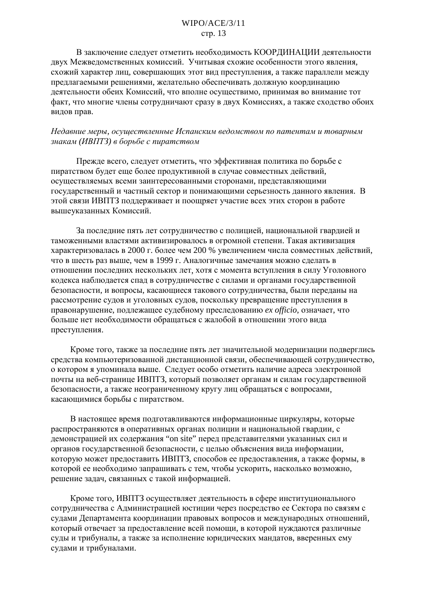### $W$ IPO/ACE/3/11 стр. 13

В заключение следует отметить необходимость КООРДИНАЦИИ деятельности лвух Межвеломственных комиссий. Учитывая схожие особенности этого явления. схожий характер лиц, совершающих этот вид преступления, а также параллели между предлагаемыми решениями, желательно обеспечивать должную координацию деятельности обеих Комиссий, что вполне осуществимо, принимая во внимание тот факт, что многие члены сотрудничают сразу в двух Комиссиях, а также сходство обоих видов прав.

### Недавние меры, осуществленные Испанским ведомством по патентам и товарным знакам (ИВПТЗ) в борьбе с пиратством

Прежде всего, следует отметить, что эффективная политика по борьбе с пиратством будет еще более продуктивной в случае совместных действий, осуществляемых всеми заинтересованными сторонами, представляющими государственный и частный сектор и понимающими серьезность данного явления. В этой связи ИВПТЗ поддерживает и поощряет участие всех этих сторон в работе вышеуказанных Комиссий.

За последние пять лет сотрудничество с полицией, национальной гвардией и таможенными властями активизировалось в огромной степени. Такая активизация характеризовалась в 2000 г. более чем 200 % увеличением числа совместных действий, что в шесть раз выше, чем в 1999 г. Аналогичные замечания можно сделать в отношении последних нескольких лет, хотя с момента вступления в силу Уголовного кодекса наблюдается спад в сотрудничестве с силами и органами государственной безопасности, и вопросы, касающиеся такового сотрудничества, были переданы на рассмотрение судов и уголовных судов, поскольку превращение преступления в правонарушение, подлежащее судебному преследованию *ex officio*, означает, что больше нет необходимости обращаться с жалобой в отношении этого вида преступления.

Кроме того, также за последние пять лет значительной модернизации подверглись средства компьютеризованной листанционной связи, обеспечивающей сотрудничество, о котором я упоминала выше. Следует особо отметить наличие адреса электронной почты на веб-странице ИВПТЗ, который позволяет органам и силам государственной безопасности, а также неограниченному кругу лиц обращаться с вопросами, касающимися борьбы с пиратством.

В настоящее время подготавливаются информационные циркуляры, которые распространяются в оперативных органах полиции и национальной гвардии, с демонстрацией их содержания "on site" перед представителями указанных сил и органов государственной безопасности, с целью объяснения вида информации, которую может предоставить ИВПТЗ, способов ее предоставления, а также формы, в которой ее необходимо запрашивать с тем, чтобы ускорить, насколько возможно, решение задач, связанных с такой информацией.

Кроме того, ИВПТЗ осуществляет деятельность в сфере институционального сотрудничества с Администрацией юстиции через посредство ее Сектора по связям с судами Департамента координации правовых вопросов и международных отношений, который отвечает за предоставление всей помощи, в которой нуждаются различные суды и трибуналы, а также за исполнение юридических мандатов, вверенных ему судами и трибуналами.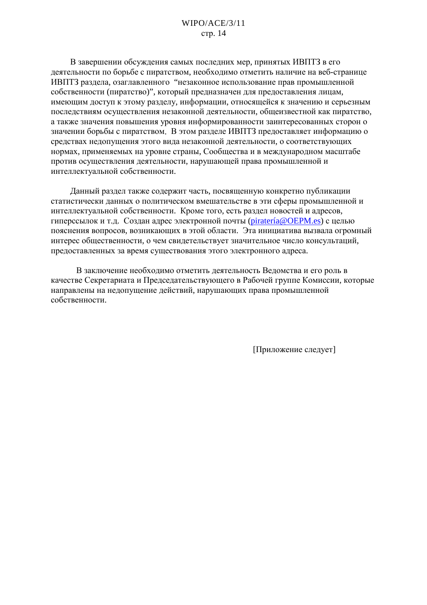В завершении обсуждения самых последних мер, принятых ИВПТЗ в его деятельности по борьбе с пиратством, необходимо отметить наличие на веб-странице ИВПТЗ раздела, озаглавленного "незаконное использование прав промышленной собственности (пиратство)", который предназначен для предоставления лицам, имеющим доступ к этому разделу, информации, относящейся к значению и серьезным последствиям осуществления незаконной деятельности, общеизвестной как пиратство, а также значения повышения уровня информированности заинтересованных сторон о значении борьбы с пиратством. В этом разделе ИВПТЗ предоставляет информацию о средствах недопущения этого вида незаконной деятельности, о соответствующих нормах, применяемых на уровне страны, Сообщества и в международном масштабе против осуществления деятельности, нарушающей права промышленной и интеллектуальной собственности.

Данный раздел также содержит часть, посвященную конкретно публикации статистически данных о политическом вмешательстве в эти сферы промышленной и интеллектуальной собственности. Кроме того, есть раздел новостей и адресов, гиперссылок и т.д. Создан адрес электронной почты (piratería@OEPM.es) с целью пояснения вопросов, возникающих в этой области. Эта инициатива вызвала огромный интерес общественности, о чем свидетельствует значительное число консультаций, предоставленных за время существования этого электронного адреса.

В заключение необходимо отметить деятельность Ведомства и его роль в качестве Секретариата и Председательствующего в Рабочей группе Комиссии, которые направлены на недопущение действий, нарушающих права промышленной собственности.

[Приложение следует]